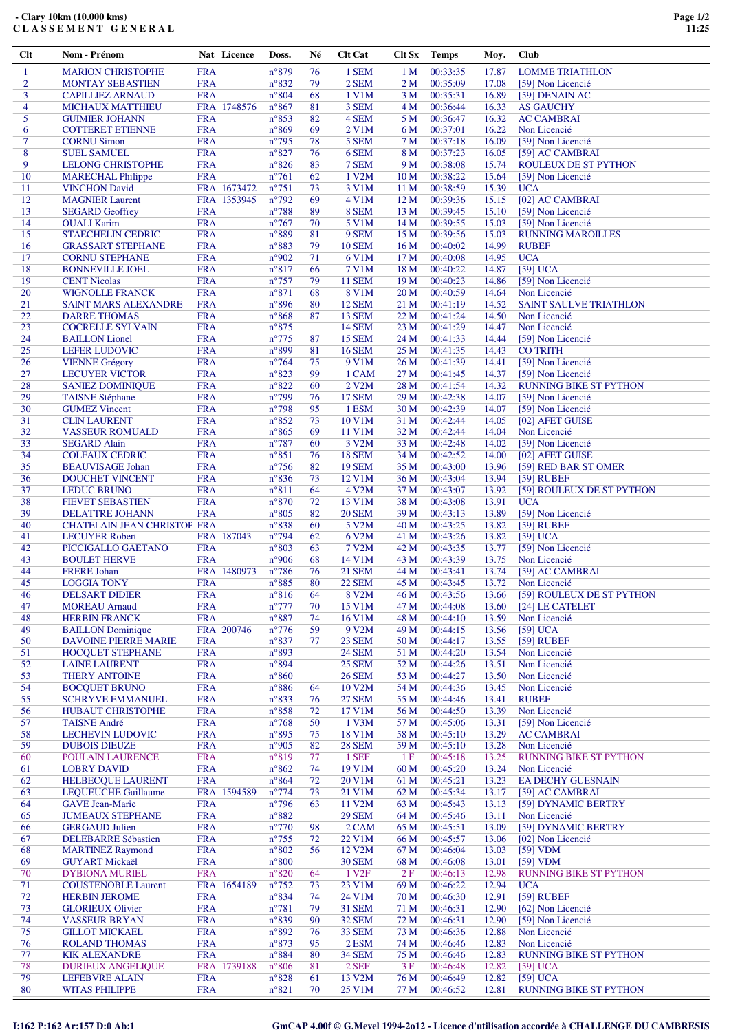| 1                   | <b>MARION CHRISTOPHE</b>                               | <b>FRA</b>                | $n^{\circ}879$                    | 76       | 1 SEM                              | 1 <sub>M</sub>          | 00:33:35             | 17.87          | <b>LOMME TRIATHLON</b>                        |
|---------------------|--------------------------------------------------------|---------------------------|-----------------------------------|----------|------------------------------------|-------------------------|----------------------|----------------|-----------------------------------------------|
| $\overline{2}$      | <b>MONTAY SEBASTIEN</b>                                | <b>FRA</b>                | $n^{\circ}832$                    | 79       | 2 SEM                              | 2 <sub>M</sub>          | 00:35:09             | 17.08          | [59] Non Licencié                             |
| 3                   | <b>CAPILLIEZ ARNAUD</b>                                | <b>FRA</b>                | $n^{\circ}804$                    | 68       | 1 V1M                              | 3 M                     | 00:35:31             | 16.89          | [59] DENAIN AC                                |
| $\overline{4}$<br>5 | <b>MICHAUX MATTHIEU</b><br><b>GUIMIER JOHANN</b>       | FRA 1748576<br><b>FRA</b> | $n^{\circ}867$<br>$n^{\circ}853$  | 81<br>82 | 3 SEM<br>4 SEM                     | 4 M<br>5 M              | 00:36:44<br>00:36:47 | 16.33<br>16.32 | <b>AS GAUCHY</b><br><b>AC CAMBRAI</b>         |
| 6                   | <b>COTTERET ETIENNE</b>                                | <b>FRA</b>                | $n^{\circ}869$                    | 69       | 2 V1M                              | 6 M                     | 00:37:01             | 16.22          | Non Licencié                                  |
| 7                   | <b>CORNU Simon</b>                                     | <b>FRA</b>                | $n^{\circ}$ 795                   | 78       | 5 SEM                              | 7 M                     | 00:37:18             | 16.09          | [59] Non Licencié                             |
| 8                   | <b>SUEL SAMUEL</b>                                     | <b>FRA</b>                | $n^{\circ}827$                    | 76       | 6 SEM                              | 8 M                     | 00:37:23             | 16.05          | [59] AC CAMBRAI                               |
| 9                   | <b>LELONG CHRISTOPHE</b>                               | <b>FRA</b>                | $n^{\circ}826$                    | 83       | 7 SEM                              | 9 M                     | 00:38:08             | 15.74          | ROULEUX DE ST PYTHON                          |
| 10                  | <b>MARECHAL Philippe</b>                               | <b>FRA</b>                | $n^{\circ}761$                    | 62       | 1 V2M                              | 10 <sub>M</sub>         | 00:38:22             | 15.64          | [59] Non Licencié                             |
| 11                  | <b>VINCHON David</b>                                   | FRA 1673472               | $n^{\circ}751$                    | 73       | 3 V1M                              | 11 M                    | 00:38:59             | 15.39          | <b>UCA</b>                                    |
| 12                  | <b>MAGNIER Laurent</b>                                 | FRA 1353945               | $n^{\circ}$ 792                   | 69       | 4 V1M                              | 12 <sub>M</sub>         | 00:39:36             | 15.15          | [02] AC CAMBRAI                               |
| 13<br>14            | <b>SEGARD Geoffrey</b>                                 | <b>FRA</b><br><b>FRA</b>  | $n^{\circ}788$<br>$n^{\circ}767$  | 89       | 8 SEM<br>5 V1M                     | 13 <sub>M</sub>         | 00:39:45<br>00:39:55 | 15.10<br>15.03 | [59] Non Licencié<br>[59] Non Licencié        |
| 15                  | <b>OUALI</b> Karim<br><b>STAECHELIN CEDRIC</b>         | <b>FRA</b>                | n°889                             | 70<br>81 | 9 SEM                              | 14 <sub>M</sub><br>15 M | 00:39:56             | 15.03          | <b>RUNNING MAROILLES</b>                      |
| 16                  | <b>GRASSART STEPHANE</b>                               | <b>FRA</b>                | n°883                             | 79       | <b>10 SEM</b>                      | 16 <sub>M</sub>         | 00:40:02             | 14.99          | <b>RUBEF</b>                                  |
| 17                  | <b>CORNU STEPHANE</b>                                  | <b>FRA</b>                | n°902                             | 71       | 6 V1M                              | 17 <sub>M</sub>         | 00:40:08             | 14.95          | <b>UCA</b>                                    |
| 18                  | <b>BONNEVILLE JOEL</b>                                 | <b>FRA</b>                | n°817                             | 66       | 7 V1M                              | 18 M                    | 00:40:22             | 14.87          | [59] UCA                                      |
| 19                  | <b>CENT Nicolas</b>                                    | <b>FRA</b>                | $n^{\circ}757$                    | 79       | <b>11 SEM</b>                      | 19 <sub>M</sub>         | 00:40:23             | 14.86          | [59] Non Licencié                             |
| 20                  | <b>WIGNOLLE FRANCK</b>                                 | <b>FRA</b>                | $n^{\circ}871$                    | 68       | <b>8 V1M</b>                       | 20 <sub>M</sub>         | 00:40:59             | 14.64          | Non Licencié                                  |
| 21                  | <b>SAINT MARS ALEXANDRE</b>                            | <b>FRA</b>                | n°896                             | 80       | <b>12 SEM</b>                      | 21 M                    | 00:41:19             | 14.52          | <b>SAINT SAULVE TRIATHLON</b>                 |
| 22                  | <b>DARRE THOMAS</b>                                    | <b>FRA</b>                | $n^{\circ}868$                    | 87       | <b>13 SEM</b>                      | 22 M                    | 00:41:24             | 14.50          | Non Licencié                                  |
| 23<br>24            | <b>COCRELLE SYLVAIN</b><br><b>BAILLON</b> Lionel       | <b>FRA</b><br><b>FRA</b>  | $n^{\circ}875$<br>$n^{\circ}775$  | 87       | <b>14 SEM</b><br><b>15 SEM</b>     | 23M<br>24 M             | 00:41:29<br>00:41:33 | 14.47<br>14.44 | Non Licencié<br>[59] Non Licencié             |
| 25                  | <b>LEFER LUDOVIC</b>                                   | <b>FRA</b>                | n°899                             | 81       | <b>16 SEM</b>                      | 25 M                    | 00:41:35             | 14.43          | <b>CO TRITH</b>                               |
| 26                  | <b>VIENNE Grégory</b>                                  | <b>FRA</b>                | $n^{\circ}764$                    | 75       | 9 V1M                              | 26 M                    | 00:41:39             | 14.41          | [59] Non Licencié                             |
| 27                  | <b>LECUYER VICTOR</b>                                  | <b>FRA</b>                | $n^{\circ}823$                    | 99       | 1 CAM                              | 27 M                    | 00:41:45             | 14.37          | [59] Non Licencié                             |
| 28                  | <b>SANIEZ DOMINIQUE</b>                                | <b>FRA</b>                | $n^{\circ}822$                    | 60       | 2 V2M                              | 28 M                    | 00:41:54             | 14.32          | <b>RUNNING BIKE ST PYTHON</b>                 |
| 29                  | <b>TAISNE Stéphane</b>                                 | <b>FRA</b>                | $n^{\circ}799$                    | 76       | <b>17 SEM</b>                      | 29 M                    | 00:42:38             | 14.07          | [59] Non Licencié                             |
| 30                  | <b>GUMEZ Vincent</b>                                   | <b>FRA</b>                | $n^{\circ}798$                    | 95       | 1 ESM                              | 30 M                    | 00:42:39             | 14.07          | [59] Non Licencié                             |
| 31                  | <b>CLIN LAURENT</b>                                    | <b>FRA</b>                | $n^{\circ}852$                    | 73       | 10 V1M                             | 31 M                    | 00:42:44             | 14.05          | [02] AFET GUISE                               |
| 32<br>33            | <b>VASSEUR ROMUALD</b><br><b>SEGARD Alain</b>          | <b>FRA</b><br><b>FRA</b>  | $n^{\circ}865$<br>$n^{\circ}787$  | 69<br>60 | 11 V1M<br>3 V2M                    | 32 M<br>33 M            | 00:42:44<br>00:42:48 | 14.04<br>14.02 | Non Licencié<br>[59] Non Licencié             |
| 34                  | <b>COLFAUX CEDRIC</b>                                  | <b>FRA</b>                | $n^{\circ}851$                    | 76       | <b>18 SEM</b>                      | 34 M                    | 00:42:52             | 14.00          | [02] AFET GUISE                               |
| 35                  | <b>BEAUVISAGE Johan</b>                                | <b>FRA</b>                | $n^{\circ}756$                    | 82       | <b>19 SEM</b>                      | 35 M                    | 00:43:00             | 13.96          | [59] RED BAR ST OMER                          |
| 36                  | <b>DOUCHET VINCENT</b>                                 | <b>FRA</b>                | $n^{\circ}836$                    | 73       | 12 V1M                             | 36 M                    | 00:43:04             | 13.94          | [59] RUBEF                                    |
| 37                  | <b>LEDUC BRUNO</b>                                     | <b>FRA</b>                | $n^{\circ}811$                    | 64       | 4 V2M                              | 37 M                    | 00:43:07             | 13.92          | [59] ROULEUX DE ST PYTHON                     |
| 38                  | <b>FIEVET SEBASTIEN</b>                                | <b>FRA</b>                | $n^{\circ}870$                    | 72       | 13 V1M                             | 38 M                    | 00:43:08             | 13.91          | <b>UCA</b>                                    |
| 39                  | <b>DELATTRE JOHANN</b>                                 | <b>FRA</b>                | $n^{\circ}805$                    | 82       | <b>20 SEM</b>                      | 39 M                    | 00:43:13             | 13.89          | [59] Non Licencié                             |
| 40                  | <b>CHATELAIN JEAN CHRISTOF FRA</b>                     |                           | n°838                             | 60       | 5 V2M                              | 40 M                    | 00:43:25             | 13.82          | [59] RUBEF                                    |
| 41<br>42            | <b>LECUYER Robert</b><br>PICCIGALLO GAETANO            | FRA 187043<br><b>FRA</b>  | $n^{\circ}$ 794<br>$n^{\circ}803$ | 62<br>63 | 6 V2M<br>7 V2M                     | 41 M<br>42 M            | 00:43:26<br>00:43:35 | 13.82<br>13.77 | $[59]$ UCA<br>[59] Non Licencié               |
| 43                  | <b>BOULET HERVE</b>                                    | <b>FRA</b>                | n°906                             | 68       | 14 V1M                             | 43 M                    | 00:43:39             | 13.75          | Non Licencié                                  |
| 44                  | <b>FRERE Johan</b>                                     | FRA 1480973               | $n^{\circ}786$                    | 76       | <b>21 SEM</b>                      | 44 M                    | 00:43:41             | 13.74          | [59] AC CAMBRAI                               |
| 45                  | <b>LOGGIA TONY</b>                                     | <b>FRA</b>                | $n^{\circ}885$                    | 80       | <b>22 SEM</b>                      | 45 M                    | 00:43:45             | 13.72          | Non Licencié                                  |
| 46                  | <b>DELSART DIDIER</b>                                  | <b>FRA</b>                | $n^{\circ}816$                    | 64       | 8 V2M                              | 46 M                    | 00:43:56             | 13.66          | [59] ROULEUX DE ST PYTHON                     |
| 47                  | <b>MOREAU Arnaud</b>                                   | <b>FRA</b>                | $n^{\circ}777$                    | 70       | 15 V1M                             | 47 M                    | 00:44:08             | 13.60          | [24] LE CATELET                               |
| 48                  | <b>HERBIN FRANCK</b>                                   | <b>FRA</b>                | $n^{\circ}887$                    | 74       | 16 V1M                             | 48 M                    | 00:44:10             | 13.59          | Non Licencie                                  |
| 49                  | <b>BAILLON</b> Dominique                               | FRA 200746                | $n^{\circ}776$                    | 59       | 9 V2M                              | 49 M                    | 00:44:15             | 13.56          | [59] UCA                                      |
| 50<br>51            | <b>DAVOINE PIERRE MARIE</b><br><b>HOCQUET STEPHANE</b> | <b>FRA</b><br><b>FRA</b>  | $n^{\circ}837$<br>n°893           | 77       | <b>23 SEM</b><br><b>24 SEM</b>     | 50 M<br>51 M            | 00:44:17<br>00:44:20 | 13.55<br>13.54 | [59] RUBEF<br>Non Licencié                    |
| 52                  | <b>LAINE LAURENT</b>                                   | <b>FRA</b>                | n°894                             |          | <b>25 SEM</b>                      | 52 M                    | 00:44:26             | 13.51          | Non Licencié                                  |
| 53                  | <b>THERY ANTOINE</b>                                   | <b>FRA</b>                | $n^{\circ}860$                    |          | <b>26 SEM</b>                      | 53 M                    | 00:44:27             | 13.50          | Non Licencié                                  |
| 54                  | <b>BOCQUET BRUNO</b>                                   | <b>FRA</b>                | $n^{\circ}886$                    | 64       | 10 V2M                             | 54 M                    | 00:44:36             | 13.45          | Non Licencié                                  |
| 55                  | <b>SCHRYVE EMMANUEL</b>                                | <b>FRA</b>                | n°833                             | 76       | <b>27 SEM</b>                      | 55 M                    | 00:44:46             | 13.41          | <b>RUBEF</b>                                  |
| 56                  | <b>HUBAUT CHRISTOPHE</b>                               | <b>FRA</b>                | $n^{\circ}858$                    | 72       | 17 V1M                             | 56 M                    | 00:44:50             | 13.39          | Non Licencié                                  |
| 57                  | <b>TAISNE André</b>                                    | <b>FRA</b>                | $n^{\circ}768$                    | 50       | 1 V3M                              | 57 M                    | 00:45:06             | 13.31          | [59] Non Licencié                             |
| 58                  | <b>LECHEVIN LUDOVIC</b>                                | <b>FRA</b>                | n°895                             | 75       | 18 V1M                             | 58 M                    | 00:45:10             | 13.29          | <b>AC CAMBRAI</b>                             |
| 59<br>60            | <b>DUBOIS DIEUZE</b><br><b>POULAIN LAURENCE</b>        | <b>FRA</b><br><b>FRA</b>  | n°905<br>n°819                    | 82<br>77 | <b>28 SEM</b><br>1 SEF             | 59 M<br>1F              | 00:45:10<br>00:45:18 | 13.28<br>13.25 | Non Licencié<br><b>RUNNING BIKE ST PYTHON</b> |
| 61                  | <b>LOBRY DAVID</b>                                     | <b>FRA</b>                | $n^{\circ}862$                    | 74       | 19 V1M                             | 60 <sub>M</sub>         | 00:45:20             | 13.24          | Non Licencié                                  |
| 62                  | <b>HELBECQUE LAURENT</b>                               | <b>FRA</b>                | $n^{\circ}864$                    | 72       | 20 V1M                             | 61 M                    | 00:45:21             | 13.23          | <b>EA DECHY GUESNAIN</b>                      |
| 63                  | <b>LEQUEUCHE Guillaume</b>                             | FRA 1594589               | $n^{\circ}774$                    | 73       | 21 V1M                             | 62 M                    | 00:45:34             | 13.17          | [59] AC CAMBRAI                               |
| 64                  | <b>GAVE Jean-Marie</b>                                 | <b>FRA</b>                | $n^{\circ}$ 796                   | 63       | 11 V2M                             | 63 M                    | 00:45:43             | 13.13          | [59] DYNAMIC BERTRY                           |
| 65                  | <b>JUMEAUX STEPHANE</b>                                | <b>FRA</b>                | n°882                             |          | <b>29 SEM</b>                      | 64 M                    | 00:45:46             | 13.11          | Non Licencié                                  |
| 66                  | <b>GERGAUD Julien</b>                                  | <b>FRA</b>                | $n^{\circ}770$                    | 98       | 2 CAM                              | 65 M                    | 00:45:51             | 13.09          | [59] DYNAMIC BERTRY                           |
| 67                  | DELEBARRE Sébastien                                    | <b>FRA</b>                | $n^{\circ}755$                    | 72       | 22 V1M                             | 66 M                    | 00:45:57             | 13.06          | [02] Non Licencié                             |
| 68                  | <b>MARTINEZ Raymond</b>                                | <b>FRA</b>                | $n^{\circ}802$                    | 56       | 12 V2M                             | 67 M                    | 00:46:04             | 13.03          | [59] VDM                                      |
| 69<br>70            | <b>GUYART Mickaël</b><br><b>DYBIONA MURIEL</b>         | <b>FRA</b><br><b>FRA</b>  | $n^{\circ}800$<br>$n^{\circ}820$  | 64       | <b>30 SEM</b><br>1 V <sub>2F</sub> | 68 M<br>2F              | 00:46:08<br>00:46:13 | 13.01<br>12.98 | [59] VDM<br><b>RUNNING BIKE ST PYTHON</b>     |
| 71                  | <b>COUSTENOBLE Laurent</b>                             | FRA 1654189               | $n^{\circ}752$                    | 73       | 23 V1M                             | 69 M                    | 00:46:22             | 12.94          | <b>UCA</b>                                    |
| 72                  | <b>HERBIN JEROME</b>                                   | <b>FRA</b>                | $n^{\circ}834$                    | 74       | 24 V1M                             | 70 M                    | 00:46:30             | 12.91          | $[59]$ RUBEF                                  |
| 73                  | <b>GLORIEUX Olivier</b>                                | <b>FRA</b>                | $n^{\circ}781$                    | 79       | <b>31 SEM</b>                      | 71 M                    | 00:46:31             | 12.90          | [62] Non Licencié                             |
| 74                  | <b>VASSEUR BRYAN</b>                                   | <b>FRA</b>                | n°839                             | 90       | <b>32 SEM</b>                      | 72 M                    | 00:46:31             | 12.90          | [59] Non Licencié                             |
| 75                  | <b>GILLOT MICKAEL</b>                                  | <b>FRA</b>                | n°892                             | 76       | <b>33 SEM</b>                      | 73 M                    | 00:46:36             | 12.88          | Non Licencié                                  |
|                     |                                                        |                           |                                   | 95       | 2 ESM                              | 74 M                    | 00:46:46             | 12.83          | Non Licencié                                  |
| 76                  | <b>ROLAND THOMAS</b>                                   | <b>FRA</b>                | $n^{\circ}873$                    |          |                                    |                         |                      |                |                                               |
| 77                  | <b>KIK ALEXANDRE</b>                                   | <b>FRA</b>                | $n^{\circ}884$                    | 80       | <b>34 SEM</b>                      | 75 M                    | 00:46:46             | 12.83          | <b>RUNNING BIKE ST PYTHON</b>                 |
| 78                  | <b>DURIEUX ANGELIQUE</b>                               | FRA 1739188               | $n^{\circ}806$                    | 81       | $2$ SEF                            | 3F                      | 00:46:48             | 12.82          | [59] UCA                                      |
| 79<br>80            | <b>LEFEBVRE ALAIN</b><br><b>WITAS PHILIPPE</b>         | <b>FRA</b><br><b>FRA</b>  | $n^{\circ}828$<br>$n^{\circ}821$  | 61<br>70 | 13 V2M<br>25 V1M                   | 76 M<br>77 M            | 00:46:49<br>00:46:52 | 12.82<br>12.81 | [59] UCA<br><b>RUNNING BIKE ST PYTHON</b>     |

**Clt Nom - Prénom Nat Licence Doss. Né Clt Cat Clt Sx Temps Moy. Club**